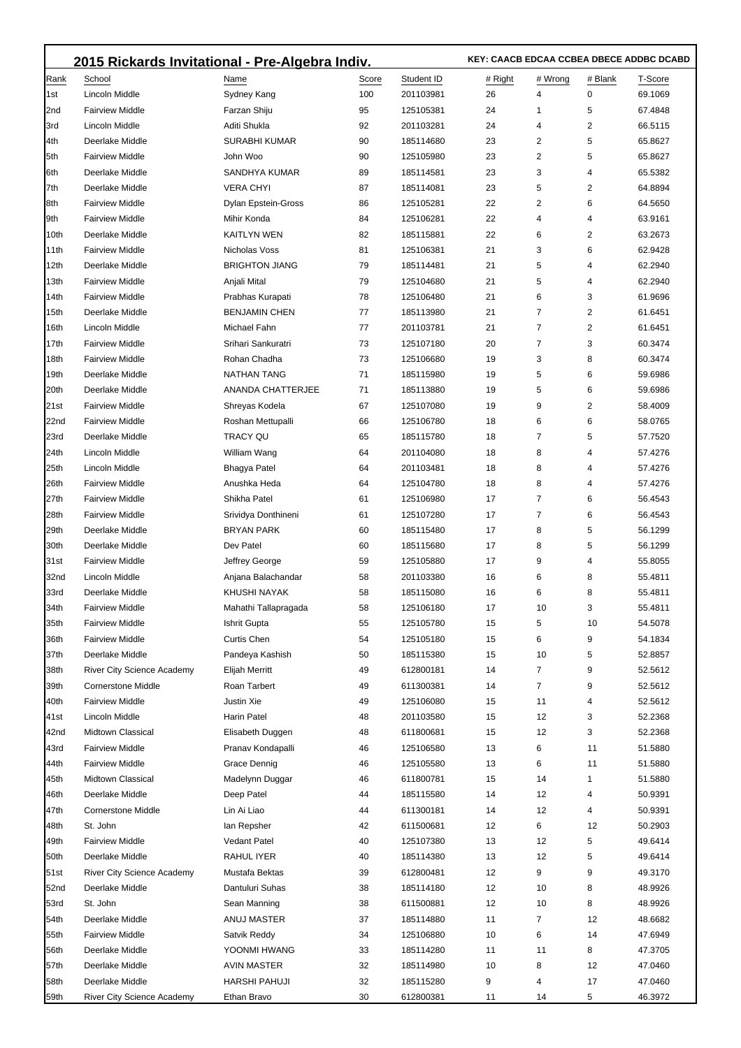|                  | 2015 Rickards Invitational - Pre-Algebra Indiv. |                              |          |            |         | KEY: CAACB EDCAA CCBEA DBECE ADDBC DCABD |         |                    |  |  |
|------------------|-------------------------------------------------|------------------------------|----------|------------|---------|------------------------------------------|---------|--------------------|--|--|
| Rank             | School                                          | Name                         | Score    | Student ID | # Right | # Wrong                                  | # Blank | T-Score            |  |  |
| 1st              | Lincoln Middle                                  | Sydney Kang                  | 100      | 201103981  | 26      | 4                                        | 0       | 69.1069            |  |  |
| 2nd              | <b>Fairview Middle</b>                          | Farzan Shiju                 | 95       | 125105381  | 24      | 1                                        | 5       | 67.4848            |  |  |
| 3rd              | Lincoln Middle                                  | Aditi Shukla                 | 92       | 201103281  | 24      | 4                                        | 2       | 66.5115            |  |  |
| 4th              | Deerlake Middle                                 | <b>SURABHI KUMAR</b>         | 90       | 185114680  | 23      | 2                                        | 5       | 65.8627            |  |  |
| 5th              | <b>Fairview Middle</b>                          | John Woo                     | 90       | 125105980  | 23      | 2                                        | 5       | 65.8627            |  |  |
| 6th              | Deerlake Middle                                 | SANDHYA KUMAR                | 89       | 185114581  | 23      | 3                                        | 4       | 65.5382            |  |  |
| 7th              | Deerlake Middle                                 | <b>VERA CHYI</b>             | 87       | 185114081  | 23      | 5                                        | 2       | 64.8894            |  |  |
| 8th              | <b>Fairview Middle</b>                          | Dylan Epstein-Gross          | 86       | 125105281  | 22      | 2                                        | 6       | 64.5650            |  |  |
| 9th              | <b>Fairview Middle</b>                          | Mihir Konda                  | 84       | 125106281  | 22      | 4                                        | 4       | 63.9161            |  |  |
| 10th             | Deerlake Middle                                 | <b>KAITLYN WEN</b>           | 82       | 185115881  | 22      | 6                                        | 2       | 63.2673            |  |  |
| 11th             | <b>Fairview Middle</b>                          | Nicholas Voss                | 81       | 125106381  | 21      | 3                                        | 6       | 62.9428            |  |  |
| 12th             | Deerlake Middle                                 | <b>BRIGHTON JIANG</b>        | 79       | 185114481  | 21      | 5                                        | 4       | 62.2940            |  |  |
| 13th             | <b>Fairview Middle</b>                          | Anjali Mital                 | 79       | 125104680  | 21      | 5                                        | 4       | 62.2940            |  |  |
| 14th             | <b>Fairview Middle</b>                          | Prabhas Kurapati             | 78       | 125106480  | 21      | 6                                        | 3       | 61.9696            |  |  |
| 15th             | Deerlake Middle                                 | <b>BENJAMIN CHEN</b>         | 77       | 185113980  | 21      | 7                                        | 2       | 61.6451            |  |  |
| 16th             | Lincoln Middle                                  | Michael Fahn                 | 77       | 201103781  | 21      | 7                                        | 2       | 61.6451            |  |  |
| 17th             | <b>Fairview Middle</b>                          | Srihari Sankuratri           | 73       | 125107180  | 20      | 7                                        | 3       | 60.3474            |  |  |
| 18th             | <b>Fairview Middle</b>                          | Rohan Chadha                 | 73       | 125106680  | 19      | 3                                        | 8       | 60.3474            |  |  |
| 19th             | Deerlake Middle                                 | <b>NATHAN TANG</b>           | 71       | 185115980  | 19      | 5                                        | 6       | 59.6986            |  |  |
| 20th             | Deerlake Middle                                 | ANANDA CHATTERJEE            | 71       | 185113880  | 19      | 5                                        | 6       | 59.6986            |  |  |
| 21st             | <b>Fairview Middle</b>                          | Shreyas Kodela               | 67       | 125107080  | 19      | 9                                        | 2       | 58.4009            |  |  |
| 22nd             | <b>Fairview Middle</b>                          | Roshan Mettupalli            | 66       | 125106780  | 18      | 6                                        | 6       | 58.0765            |  |  |
| 23rd             | Deerlake Middle                                 | TRACY QU                     | 65       | 185115780  | 18      | 7                                        | 5       | 57.7520            |  |  |
| 24th             | Lincoln Middle                                  | William Wang                 | 64       | 201104080  | 18      | 8                                        | 4       | 57.4276            |  |  |
| 25th             | Lincoln Middle                                  | <b>Bhagya Patel</b>          | 64       | 201103481  | 18      | 8                                        | 4       | 57.4276            |  |  |
| 26th             | <b>Fairview Middle</b>                          | Anushka Heda                 | 64       | 125104780  | 18      | 8                                        | 4       | 57.4276            |  |  |
| 27th             | <b>Fairview Middle</b>                          | Shikha Patel                 | 61       | 125106980  | 17      | 7                                        | 6       | 56.4543            |  |  |
| 28th             | <b>Fairview Middle</b>                          | Srividya Donthineni          | 61       | 125107280  | 17      | 7                                        | 6       | 56.4543            |  |  |
| 29th             | Deerlake Middle                                 | <b>BRYAN PARK</b>            | 60       | 185115480  | 17      | 8                                        | 5       | 56.1299            |  |  |
| 30th             | Deerlake Middle                                 | Dev Patel                    | 60       | 185115680  | 17      | 8                                        | 5       | 56.1299            |  |  |
| 31st             | <b>Fairview Middle</b>                          | Jeffrey George               | 59       | 125105880  | 17      | 9                                        | 4       | 55.8055            |  |  |
| 32nd             | Lincoln Middle                                  | Anjana Balachandar           | 58       | 201103380  | 16      | 6                                        | 8       | 55.4811            |  |  |
| 33rd             | Deerlake Middle                                 | KHUSHI NAYAK                 | 58       | 185115080  | 16      | 6                                        | 8       | 55.4811            |  |  |
| 34 <sub>th</sub> | <b>Fairview Middle</b>                          | Mahathi Tallapragada         | 58       | 125106180  | 17      | 10                                       |         | 55.4811            |  |  |
| 35th             | <b>Fairview Middle</b>                          | Ishrit Gupta                 | 55       | 125105780  | 15      | 5                                        | 10      | 54.5078            |  |  |
| 36th             | <b>Fairview Middle</b>                          | Curtis Chen                  | 54       | 125105180  | 15      | 6                                        | 9       | 54.1834            |  |  |
| 37th             | Deerlake Middle                                 | Pandeya Kashish              | 50       | 185115380  | 15      | 10                                       | 5       | 52.8857            |  |  |
| 38th             | <b>River City Science Academy</b>               | Elijah Merritt               | 49       | 612800181  | 14      | 7                                        | 9       | 52.5612            |  |  |
| 39th             | <b>Cornerstone Middle</b>                       | Roan Tarbert                 | 49       | 611300381  | 14      | 7                                        | 9       | 52.5612            |  |  |
| 40th             | <b>Fairview Middle</b>                          | Justin Xie                   | 49       | 125106080  | 15      | 11                                       | 4       | 52.5612            |  |  |
| 41st             | Lincoln Middle                                  | Harin Patel                  | 48       | 201103580  | 15      | 12                                       | 3       | 52.2368            |  |  |
| 42nd             | Midtown Classical                               | Elisabeth Duggen             | 48       | 611800681  | 15      | 12                                       | 3       | 52.2368            |  |  |
| 43rd             | <b>Fairview Middle</b>                          | Pranav Kondapalli            | 46       | 125106580  | 13      | 6                                        | 11      | 51.5880            |  |  |
| 44th             | <b>Fairview Middle</b>                          | Grace Dennig                 | 46       | 125105580  | 13      | 6                                        | 11      | 51.5880            |  |  |
| 45th             | Midtown Classical                               | Madelynn Duggar              | 46       | 611800781  | 15      | 14                                       | 1       | 51.5880            |  |  |
| 46th             | Deerlake Middle                                 | Deep Patel                   | 44       | 185115580  | 14      | 12                                       | 4       | 50.9391            |  |  |
| 47th             | Cornerstone Middle                              | Lin Ai Liao                  | 44       | 611300181  | 14      | 12                                       | 4       | 50.9391            |  |  |
| 48th             | St. John                                        | lan Repsher                  | 42       | 611500681  | 12      | 6                                        | 12      | 50.2903            |  |  |
| 49th             | <b>Fairview Middle</b>                          | <b>Vedant Patel</b>          | 40       | 125107380  | 13      | 12                                       | 5       | 49.6414            |  |  |
| 50th             | Deerlake Middle                                 | RAHUL IYER                   | 40       | 185114380  | 13      | 12                                       | 5       | 49.6414            |  |  |
| <b>51st</b>      | River City Science Academy                      | Mustafa Bektas               | 39       | 612800481  | 12      | 9                                        | 9       | 49.3170            |  |  |
| 52nd             | Deerlake Middle                                 | Dantuluri Suhas              | 38       | 185114180  | 12      | 10                                       | 8       | 48.9926            |  |  |
| 53rd             | St. John                                        | Sean Manning                 | 38       | 611500881  | 12      | 10                                       | 8       | 48.9926            |  |  |
| 54th             | Deerlake Middle                                 | ANUJ MASTER                  | 37       | 185114880  | 11      | 7                                        | 12      | 48.6682            |  |  |
| 55th             | <b>Fairview Middle</b>                          | Satvik Reddy                 | 34       | 125106880  | 10      | 6                                        | 14      | 47.6949            |  |  |
| 56th             | Deerlake Middle                                 | YOONMI HWANG                 | 33       | 185114280  | 11      | 11                                       | 8       | 47.3705            |  |  |
| 57th             | Deerlake Middle                                 | AVIN MASTER                  | 32       | 185114980  | 10      | 8                                        | 12      | 47.0460            |  |  |
| 58th<br>59th     | Deerlake Middle<br>River City Science Academy   | HARSHI PAHUJI<br>Ethan Bravo | 32<br>30 | 185115280  | 9<br>11 | 4<br>14                                  | 17<br>5 | 47.0460<br>46.3972 |  |  |
|                  |                                                 |                              |          | 612800381  |         |                                          |         |                    |  |  |